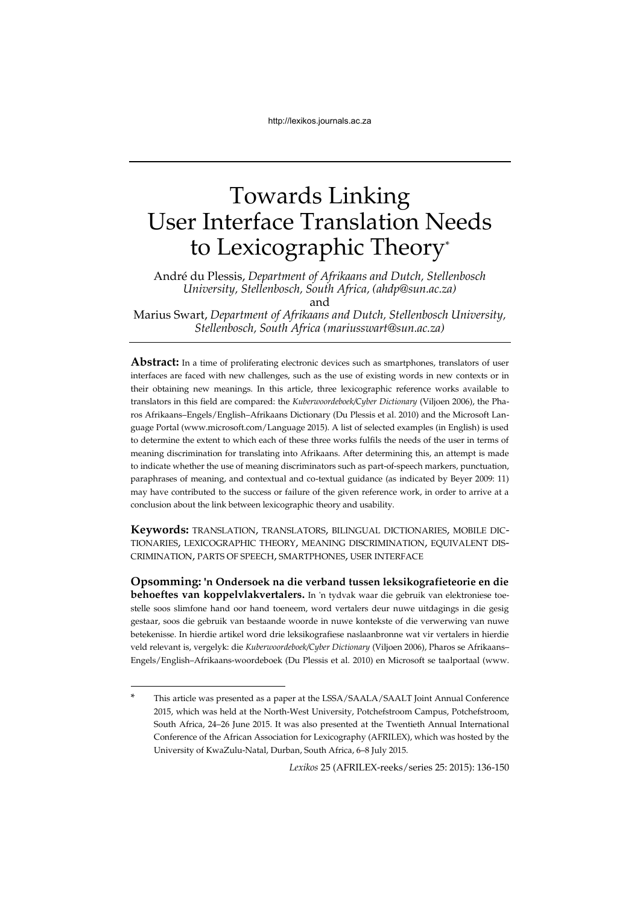# Towards Linking User Interface Translation Needs to Lexicographic Theory\*

André du Plessis, *Department of Afrikaans and Dutch, Stellenbosch University, Stellenbosch, South Africa, (ahdp@sun.ac.za)* and Marius Swart, *Department of Afrikaans and Dutch, Stellenbosch University, Stellenbosch, South Africa (mariusswart@sun.ac.za)* 

**Abstract:** In a time of proliferating electronic devices such as smartphones, translators of user interfaces are faced with new challenges, such as the use of existing words in new contexts or in their obtaining new meanings. In this article, three lexicographic reference works available to translators in this field are compared: the *Kuberwoordeboek/Cyber Dictionary* (Viljoen 2006), the Pharos Afrikaans–Engels/English–Afrikaans Dictionary (Du Plessis et al. 2010) and the Microsoft Language Portal (www.microsoft.com/Language 2015). A list of selected examples (in English) is used to determine the extent to which each of these three works fulfils the needs of the user in terms of meaning discrimination for translating into Afrikaans. After determining this, an attempt is made to indicate whether the use of meaning discriminators such as part-of-speech markers, punctuation, paraphrases of meaning, and contextual and co-textual guidance (as indicated by Beyer 2009: 11) may have contributed to the success or failure of the given reference work, in order to arrive at a conclusion about the link between lexicographic theory and usability.

**Keywords:** TRANSLATION, TRANSLATORS, BILINGUAL DICTIONARIES, MOBILE DIC-TIONARIES, LEXICOGRAPHIC THEORY, MEANING DISCRIMINATION, EQUIVALENT DIS-CRIMINATION, PARTS OF SPEECH, SMARTPHONES, USER INTERFACE

**Opsomming: 'n Ondersoek na die verband tussen leksikografieteorie en die behoeftes van koppelvlakvertalers.** In 'n tydvak waar die gebruik van elektroniese toestelle soos slimfone hand oor hand toeneem, word vertalers deur nuwe uitdagings in die gesig gestaar, soos die gebruik van bestaande woorde in nuwe kontekste of die verwerwing van nuwe betekenisse. In hierdie artikel word drie leksikografiese naslaanbronne wat vir vertalers in hierdie veld relevant is, vergelyk: die *Kuberwoordeboek/Cyber Dictionary* (Viljoen 2006), Pharos se Afrikaans– Engels/English–Afrikaans-woordeboek (Du Plessis et al. 2010) en Microsoft se taalportaal (www.

1

This article was presented as a paper at the LSSA/SAALA/SAALT Joint Annual Conference 2015, which was held at the North-West University, Potchefstroom Campus, Potchefstroom, South Africa, 24–26 June 2015. It was also presented at the Twentieth Annual International Conference of the African Association for Lexicography (AFRILEX), which was hosted by the University of KwaZulu-Natal, Durban, South Africa, 6–8 July 2015.

*Lexikos* 25 (AFRILEX-reeks/series 25: 2015): 136-150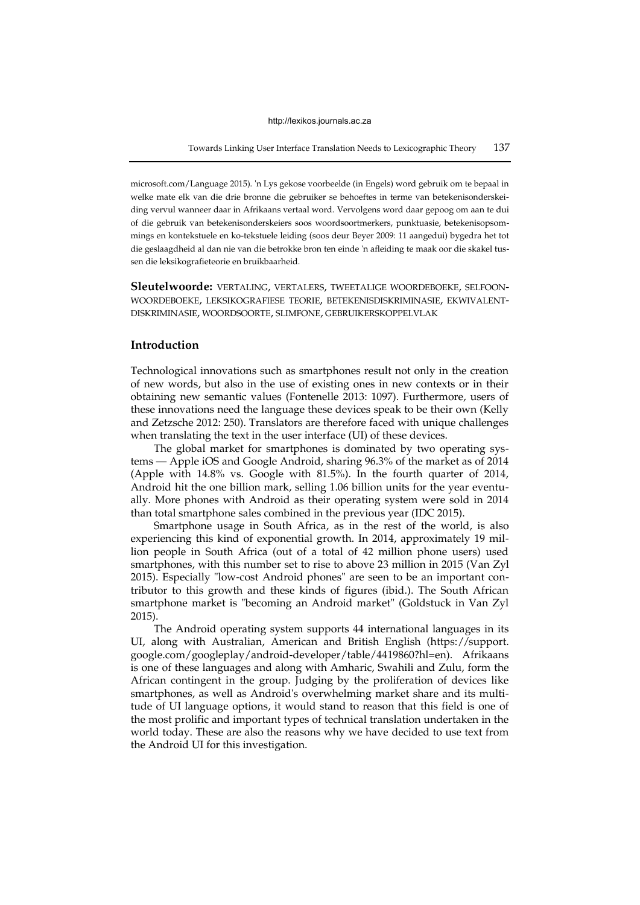Towards Linking User Interface Translation Needs to Lexicographic Theory 137

microsoft.com/Language 2015). 'n Lys gekose voorbeelde (in Engels) word gebruik om te bepaal in welke mate elk van die drie bronne die gebruiker se behoeftes in terme van betekenisonderskeiding vervul wanneer daar in Afrikaans vertaal word. Vervolgens word daar gepoog om aan te dui of die gebruik van betekenisonderskeiers soos woordsoortmerkers, punktuasie, betekenisopsommings en kontekstuele en ko-tekstuele leiding (soos deur Beyer 2009: 11 aangedui) bygedra het tot die geslaagdheid al dan nie van die betrokke bron ten einde 'n afleiding te maak oor die skakel tussen die leksikografieteorie en bruikbaarheid.

**Sleutelwoorde:** VERTALING, VERTALERS, TWEETALIGE WOORDEBOEKE, SELFOON-WOORDEBOEKE, LEKSIKOGRAFIESE TEORIE, BETEKENISDISKRIMINASIE, EKWIVALENT-DISKRIMINASIE, WOORDSOORTE, SLIMFONE, GEBRUIKERSKOPPELVLAK

#### **Introduction**

Technological innovations such as smartphones result not only in the creation of new words, but also in the use of existing ones in new contexts or in their obtaining new semantic values (Fontenelle 2013: 1097). Furthermore, users of these innovations need the language these devices speak to be their own (Kelly and Zetzsche 2012: 250). Translators are therefore faced with unique challenges when translating the text in the user interface (UI) of these devices.

The global market for smartphones is dominated by two operating systems — Apple iOS and Google Android, sharing 96.3% of the market as of 2014 (Apple with 14.8% vs. Google with 81.5%). In the fourth quarter of 2014, Android hit the one billion mark, selling 1.06 billion units for the year eventually. More phones with Android as their operating system were sold in 2014 than total smartphone sales combined in the previous year (IDC 2015).

Smartphone usage in South Africa, as in the rest of the world, is also experiencing this kind of exponential growth. In 2014, approximately 19 million people in South Africa (out of a total of 42 million phone users) used smartphones, with this number set to rise to above 23 million in 2015 (Van Zyl 2015). Especially "low-cost Android phones" are seen to be an important contributor to this growth and these kinds of figures (ibid.). The South African smartphone market is "becoming an Android market" (Goldstuck in Van Zyl 2015).

The Android operating system supports 44 international languages in its UI, along with Australian, American and British English (https://support. google.com/googleplay/android-developer/table/4419860?hl=en). Afrikaans is one of these languages and along with Amharic, Swahili and Zulu, form the African contingent in the group. Judging by the proliferation of devices like smartphones, as well as Android's overwhelming market share and its multitude of UI language options, it would stand to reason that this field is one of the most prolific and important types of technical translation undertaken in the world today. These are also the reasons why we have decided to use text from the Android UI for this investigation.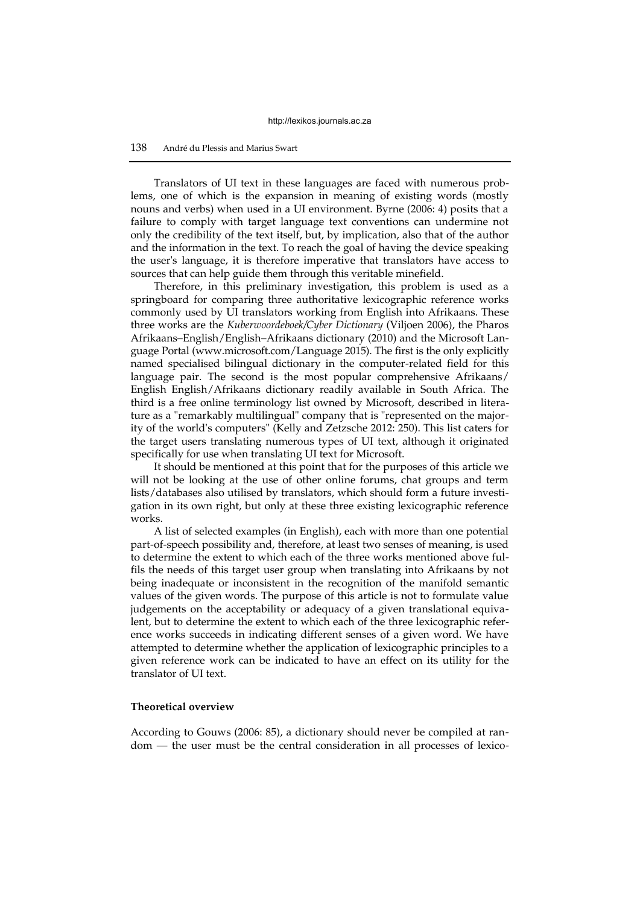Translators of UI text in these languages are faced with numerous problems, one of which is the expansion in meaning of existing words (mostly nouns and verbs) when used in a UI environment. Byrne (2006: 4) posits that a failure to comply with target language text conventions can undermine not only the credibility of the text itself, but, by implication, also that of the author and the information in the text. To reach the goal of having the device speaking the user's language, it is therefore imperative that translators have access to sources that can help guide them through this veritable minefield.

Therefore, in this preliminary investigation, this problem is used as a springboard for comparing three authoritative lexicographic reference works commonly used by UI translators working from English into Afrikaans. These three works are the *Kuberwoordeboek/Cyber Dictionary* (Viljoen 2006), the Pharos Afrikaans–English/English–Afrikaans dictionary (2010) and the Microsoft Language Portal (www.microsoft.com/Language 2015). The first is the only explicitly named specialised bilingual dictionary in the computer-related field for this language pair. The second is the most popular comprehensive Afrikaans/ English English/Afrikaans dictionary readily available in South Africa. The third is a free online terminology list owned by Microsoft, described in literature as a "remarkably multilingual" company that is "represented on the majority of the world's computers" (Kelly and Zetzsche 2012: 250). This list caters for the target users translating numerous types of UI text, although it originated specifically for use when translating UI text for Microsoft.

It should be mentioned at this point that for the purposes of this article we will not be looking at the use of other online forums, chat groups and term lists/databases also utilised by translators, which should form a future investigation in its own right, but only at these three existing lexicographic reference works.

A list of selected examples (in English), each with more than one potential part-of-speech possibility and, therefore, at least two senses of meaning, is used to determine the extent to which each of the three works mentioned above fulfils the needs of this target user group when translating into Afrikaans by not being inadequate or inconsistent in the recognition of the manifold semantic values of the given words. The purpose of this article is not to formulate value judgements on the acceptability or adequacy of a given translational equivalent, but to determine the extent to which each of the three lexicographic reference works succeeds in indicating different senses of a given word. We have attempted to determine whether the application of lexicographic principles to a given reference work can be indicated to have an effect on its utility for the translator of UI text.

#### **Theoretical overview**

According to Gouws (2006: 85), a dictionary should never be compiled at random — the user must be the central consideration in all processes of lexico-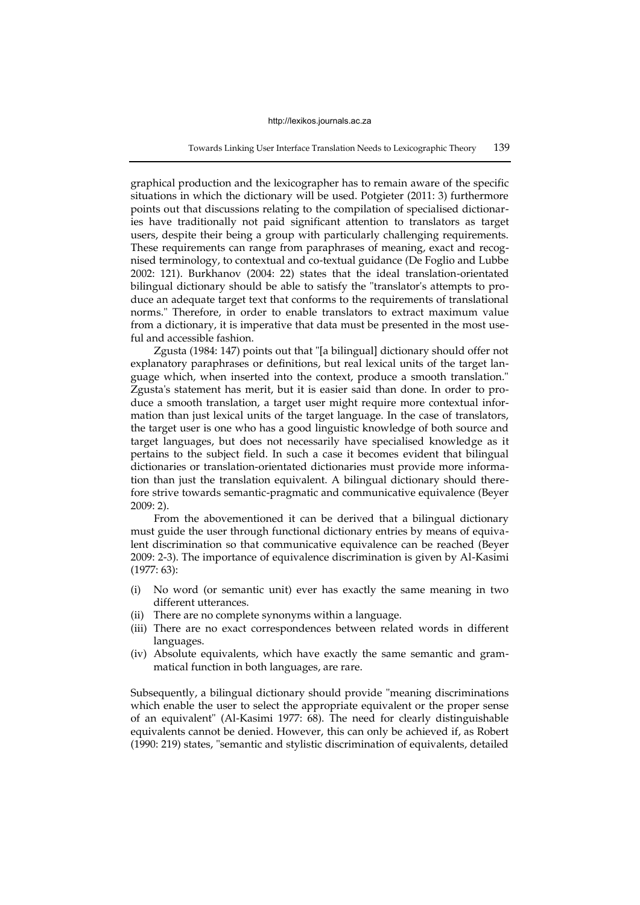graphical production and the lexicographer has to remain aware of the specific situations in which the dictionary will be used. Potgieter (2011: 3) furthermore points out that discussions relating to the compilation of specialised dictionaries have traditionally not paid significant attention to translators as target users, despite their being a group with particularly challenging requirements. These requirements can range from paraphrases of meaning, exact and recognised terminology, to contextual and co-textual guidance (De Foglio and Lubbe 2002: 121). Burkhanov (2004: 22) states that the ideal translation-orientated bilingual dictionary should be able to satisfy the "translator's attempts to produce an adequate target text that conforms to the requirements of translational norms." Therefore, in order to enable translators to extract maximum value from a dictionary, it is imperative that data must be presented in the most useful and accessible fashion.

Zgusta (1984: 147) points out that "[a bilingual] dictionary should offer not explanatory paraphrases or definitions, but real lexical units of the target language which, when inserted into the context, produce a smooth translation." Zgusta's statement has merit, but it is easier said than done. In order to produce a smooth translation, a target user might require more contextual information than just lexical units of the target language. In the case of translators, the target user is one who has a good linguistic knowledge of both source and target languages, but does not necessarily have specialised knowledge as it pertains to the subject field. In such a case it becomes evident that bilingual dictionaries or translation-orientated dictionaries must provide more information than just the translation equivalent. A bilingual dictionary should therefore strive towards semantic-pragmatic and communicative equivalence (Beyer 2009: 2).

From the abovementioned it can be derived that a bilingual dictionary must guide the user through functional dictionary entries by means of equivalent discrimination so that communicative equivalence can be reached (Beyer 2009: 2-3). The importance of equivalence discrimination is given by Al-Kasimi (1977: 63):

- (i) No word (or semantic unit) ever has exactly the same meaning in two different utterances.
- (ii) There are no complete synonyms within a language.
- (iii) There are no exact correspondences between related words in different languages.
- (iv) Absolute equivalents, which have exactly the same semantic and grammatical function in both languages, are rare.

Subsequently, a bilingual dictionary should provide "meaning discriminations which enable the user to select the appropriate equivalent or the proper sense of an equivalent" (Al-Kasimi 1977: 68). The need for clearly distinguishable equivalents cannot be denied. However, this can only be achieved if, as Robert (1990: 219) states, "semantic and stylistic discrimination of equivalents, detailed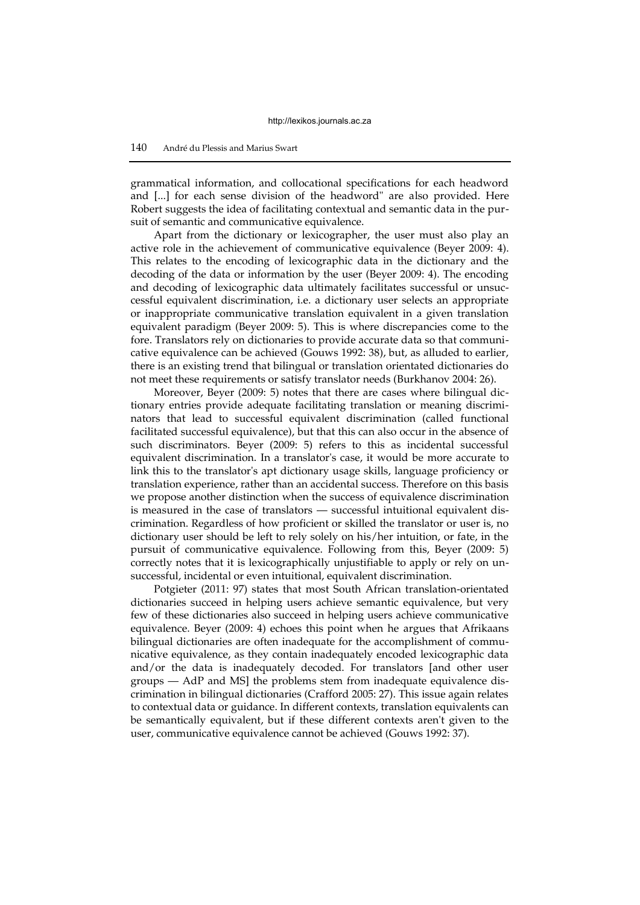grammatical information, and collocational specifications for each headword and [...] for each sense division of the headword" are also provided. Here Robert suggests the idea of facilitating contextual and semantic data in the pursuit of semantic and communicative equivalence.

Apart from the dictionary or lexicographer, the user must also play an active role in the achievement of communicative equivalence (Beyer 2009: 4). This relates to the encoding of lexicographic data in the dictionary and the decoding of the data or information by the user (Beyer 2009: 4). The encoding and decoding of lexicographic data ultimately facilitates successful or unsuccessful equivalent discrimination, i.e. a dictionary user selects an appropriate or inappropriate communicative translation equivalent in a given translation equivalent paradigm (Beyer 2009: 5). This is where discrepancies come to the fore. Translators rely on dictionaries to provide accurate data so that communicative equivalence can be achieved (Gouws 1992: 38), but, as alluded to earlier, there is an existing trend that bilingual or translation orientated dictionaries do not meet these requirements or satisfy translator needs (Burkhanov 2004: 26).

Moreover, Beyer (2009: 5) notes that there are cases where bilingual dictionary entries provide adequate facilitating translation or meaning discriminators that lead to successful equivalent discrimination (called functional facilitated successful equivalence), but that this can also occur in the absence of such discriminators. Beyer (2009: 5) refers to this as incidental successful equivalent discrimination. In a translator's case, it would be more accurate to link this to the translator's apt dictionary usage skills, language proficiency or translation experience, rather than an accidental success. Therefore on this basis we propose another distinction when the success of equivalence discrimination is measured in the case of translators — successful intuitional equivalent discrimination. Regardless of how proficient or skilled the translator or user is, no dictionary user should be left to rely solely on his/her intuition, or fate, in the pursuit of communicative equivalence. Following from this, Beyer (2009: 5) correctly notes that it is lexicographically unjustifiable to apply or rely on unsuccessful, incidental or even intuitional, equivalent discrimination.

Potgieter (2011: 97) states that most South African translation-orientated dictionaries succeed in helping users achieve semantic equivalence, but very few of these dictionaries also succeed in helping users achieve communicative equivalence. Beyer (2009: 4) echoes this point when he argues that Afrikaans bilingual dictionaries are often inadequate for the accomplishment of communicative equivalence, as they contain inadequately encoded lexicographic data and/or the data is inadequately decoded. For translators [and other user groups — AdP and MS] the problems stem from inadequate equivalence discrimination in bilingual dictionaries (Crafford 2005: 27). This issue again relates to contextual data or guidance. In different contexts, translation equivalents can be semantically equivalent, but if these different contexts aren't given to the user, communicative equivalence cannot be achieved (Gouws 1992: 37).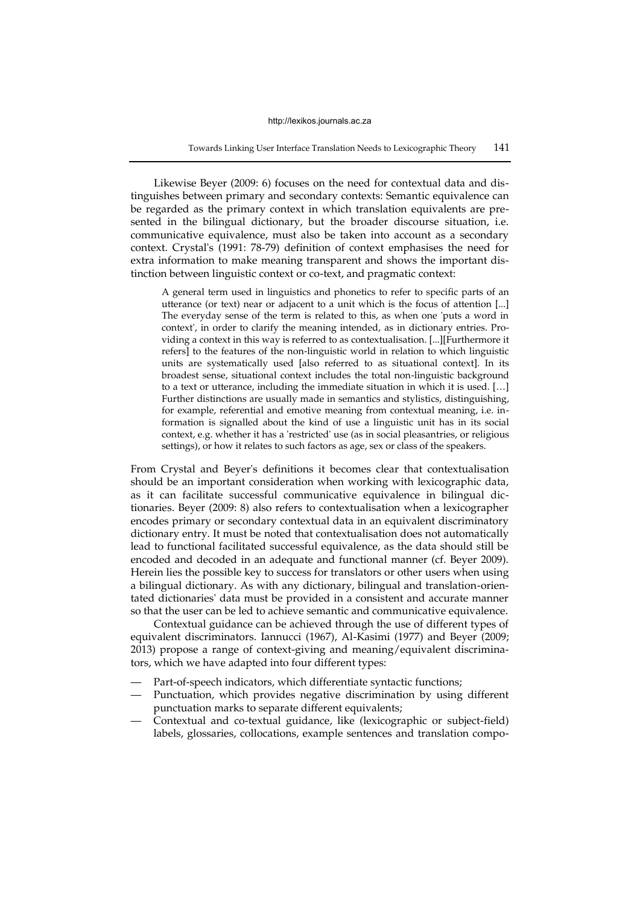Likewise Beyer (2009: 6) focuses on the need for contextual data and distinguishes between primary and secondary contexts: Semantic equivalence can be regarded as the primary context in which translation equivalents are presented in the bilingual dictionary, but the broader discourse situation, i.e. communicative equivalence, must also be taken into account as a secondary context. Crystal's (1991: 78-79) definition of context emphasises the need for extra information to make meaning transparent and shows the important distinction between linguistic context or co-text, and pragmatic context:

A general term used in linguistics and phonetics to refer to specific parts of an utterance (or text) near or adjacent to a unit which is the focus of attention [...] The everyday sense of the term is related to this, as when one 'puts a word in context', in order to clarify the meaning intended, as in dictionary entries. Providing a context in this way is referred to as contextualisation. [...][Furthermore it refers] to the features of the non-linguistic world in relation to which linguistic units are systematically used [also referred to as situational context]. In its broadest sense, situational context includes the total non-linguistic background to a text or utterance, including the immediate situation in which it is used. […] Further distinctions are usually made in semantics and stylistics, distinguishing, for example, referential and emotive meaning from contextual meaning, i.e. information is signalled about the kind of use a linguistic unit has in its social context, e.g. whether it has a 'restricted' use (as in social pleasantries, or religious settings), or how it relates to such factors as age, sex or class of the speakers.

From Crystal and Beyer's definitions it becomes clear that contextualisation should be an important consideration when working with lexicographic data, as it can facilitate successful communicative equivalence in bilingual dictionaries. Beyer (2009: 8) also refers to contextualisation when a lexicographer encodes primary or secondary contextual data in an equivalent discriminatory dictionary entry. It must be noted that contextualisation does not automatically lead to functional facilitated successful equivalence, as the data should still be encoded and decoded in an adequate and functional manner (cf. Beyer 2009). Herein lies the possible key to success for translators or other users when using a bilingual dictionary. As with any dictionary, bilingual and translation-orientated dictionaries' data must be provided in a consistent and accurate manner so that the user can be led to achieve semantic and communicative equivalence.

Contextual guidance can be achieved through the use of different types of equivalent discriminators. Iannucci (1967), Al-Kasimi (1977) and Beyer (2009; 2013) propose a range of context-giving and meaning/equivalent discriminators, which we have adapted into four different types:

- Part-of-speech indicators, which differentiate syntactic functions;
- Punctuation, which provides negative discrimination by using different punctuation marks to separate different equivalents;
- Contextual and co-textual guidance, like (lexicographic or subject-field) labels, glossaries, collocations, example sentences and translation compo-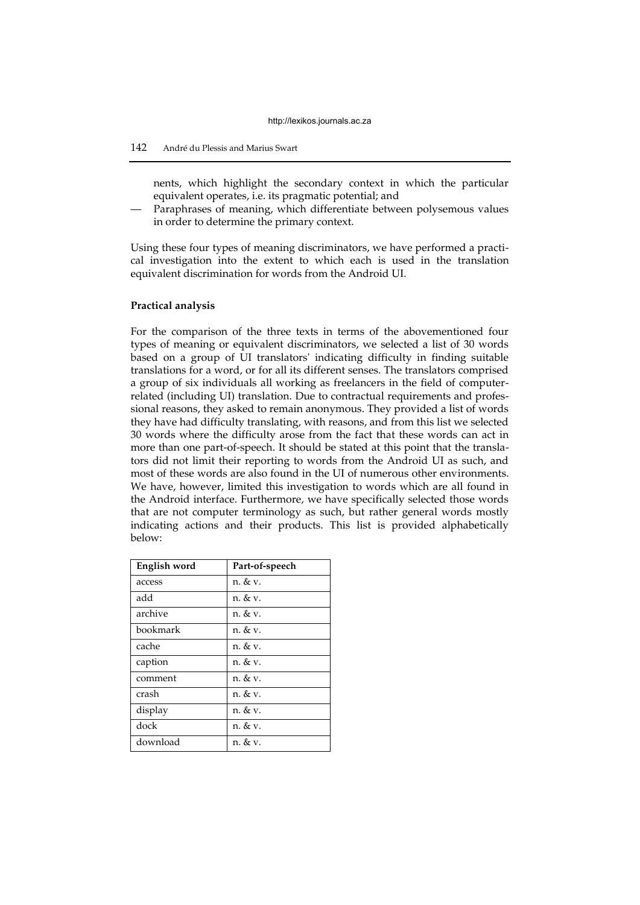### 142 André du Plessis and Marius Swart

nents, which highlight the secondary context in which the particular equivalent operates, i.e. its pragmatic potential; and

Paraphrases of meaning, which differentiate between polysemous values in order to determine the primary context.

Using these four types of meaning discriminators, we have performed a practical investigation into the extent to which each is used in the translation equivalent discrimination for words from the Android UI.

#### **Practical analysis**

For the comparison of the three texts in terms of the abovementioned four types of meaning or equivalent discriminators, we selected a list of 30 words based on a group of UI translators' indicating difficulty in finding suitable translations for a word, or for all its different senses. The translators comprised a group of six individuals all working as freelancers in the field of computerrelated (including UI) translation. Due to contractual requirements and professional reasons, they asked to remain anonymous. They provided a list of words they have had difficulty translating, with reasons, and from this list we selected 30 words where the difficulty arose from the fact that these words can act in more than one part-of-speech. It should be stated at this point that the translators did not limit their reporting to words from the Android UI as such, and most of these words are also found in the UI of numerous other environments. We have, however, limited this investigation to words which are all found in the Android interface. Furthermore, we have specifically selected those words that are not computer terminology as such, but rather general words mostly indicating actions and their products. This list is provided alphabetically below:

| English word | Part-of-speech |
|--------------|----------------|
| access       | n. & v.        |
| add          | n. & v.        |
| archive      | n. & v.        |
| bookmark     | n. & v.        |
| cache        | $n. \& v.$     |
| caption      | n. & v.        |
| comment      | n. & v.        |
| crash        | n. & v.        |
| display      | n. & v.        |
| dock         | n. & v.        |
| download     | n. & v.        |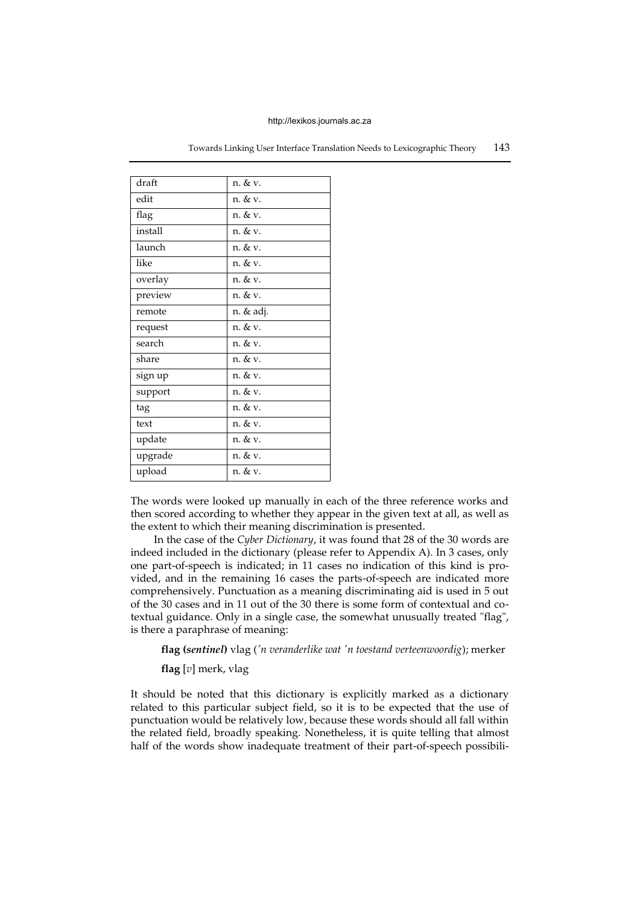| draft   | n. & v.   |
|---------|-----------|
| edit    | n. & v.   |
| flag    | n. & v.   |
| install | n. & v.   |
| launch  | n. & v.   |
| like    | n. & v.   |
| overlay | n. & v.   |
| preview | n. & v.   |
| remote  | n. & adj. |
| request | n. & v.   |
| search  | n. & v.   |
| share   | n. & v.   |
| sign up | n. & v.   |
| support | n. & v.   |
| tag     | n. & v.   |
| text    | n. & v.   |
| update  | n. & v.   |
| upgrade | n. & v.   |
| upload  | n. & v.   |

Towards Linking User Interface Translation Needs to Lexicographic Theory 143

The words were looked up manually in each of the three reference works and then scored according to whether they appear in the given text at all, as well as the extent to which their meaning discrimination is presented.

In the case of the *Cyber Dictionary*, it was found that 28 of the 30 words are indeed included in the dictionary (please refer to Appendix A). In 3 cases, only one part-of-speech is indicated; in 11 cases no indication of this kind is provided, and in the remaining 16 cases the parts-of-speech are indicated more comprehensively. Punctuation as a meaning discriminating aid is used in 5 out of the 30 cases and in 11 out of the 30 there is some form of contextual and cotextual guidance. Only in a single case, the somewhat unusually treated "flag", is there a paraphrase of meaning:

**flag (***sentinel***)** vlag (*'n veranderlike wat 'n toestand verteenwoordig*); merker

**flag** [*v*] merk, vlag

It should be noted that this dictionary is explicitly marked as a dictionary related to this particular subject field, so it is to be expected that the use of punctuation would be relatively low, because these words should all fall within the related field, broadly speaking. Nonetheless, it is quite telling that almost half of the words show inadequate treatment of their part-of-speech possibili-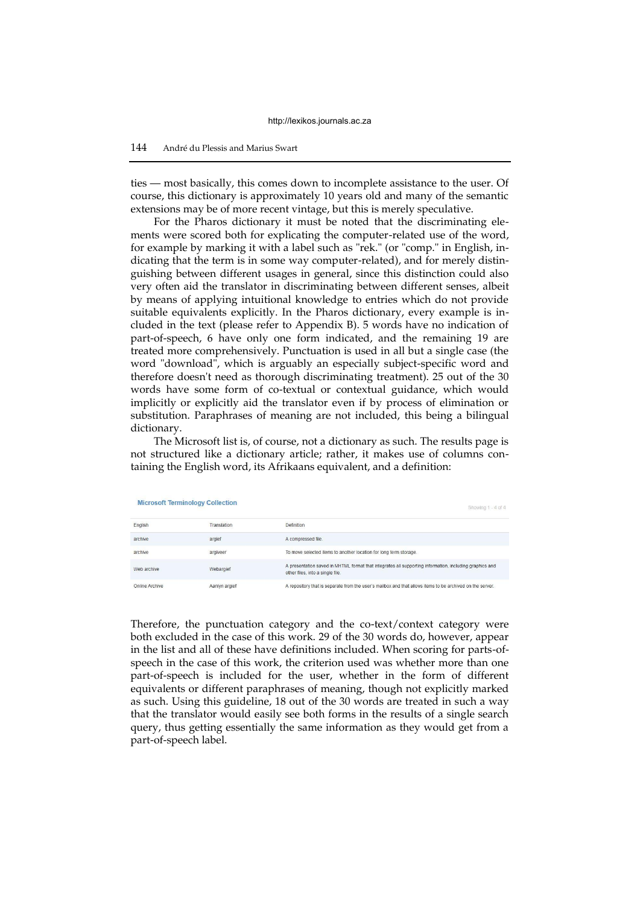ties — most basically, this comes down to incomplete assistance to the user. Of course, this dictionary is approximately 10 years old and many of the semantic extensions may be of more recent vintage, but this is merely speculative.

For the Pharos dictionary it must be noted that the discriminating elements were scored both for explicating the computer-related use of the word, for example by marking it with a label such as "rek." (or "comp." in English, indicating that the term is in some way computer-related), and for merely distinguishing between different usages in general, since this distinction could also very often aid the translator in discriminating between different senses, albeit by means of applying intuitional knowledge to entries which do not provide suitable equivalents explicitly. In the Pharos dictionary, every example is included in the text (please refer to Appendix B). 5 words have no indication of part-of-speech, 6 have only one form indicated, and the remaining 19 are treated more comprehensively. Punctuation is used in all but a single case (the word "download", which is arguably an especially subject-specific word and therefore doesn't need as thorough discriminating treatment). 25 out of the 30 words have some form of co-textual or contextual guidance, which would implicitly or explicitly aid the translator even if by process of elimination or substitution. Paraphrases of meaning are not included, this being a bilingual dictionary.

The Microsoft list is, of course, not a dictionary as such. The results page is not structured like a dictionary article; rather, it makes use of columns containing the English word, its Afrikaans equivalent, and a definition:

| <b>Microsoft Terminology Collection</b> |               | Showing 1 - 4 of 4                                                                                                                          |  |
|-----------------------------------------|---------------|---------------------------------------------------------------------------------------------------------------------------------------------|--|
| English                                 | Translation   | <b>Definition</b>                                                                                                                           |  |
| archive                                 | argief        | A compressed file.                                                                                                                          |  |
| archive                                 | argiveer      | To move selected items to another location for long term storage.                                                                           |  |
| Web archive                             | Webargief     | A presentation saved in MHTML format that integrates all supporting information, including graphics and<br>other files, into a single file. |  |
| Online Archive                          | Aanlyn argief | A repository that is separate from the user's mailbox and that allows items to be archived on the server.                                   |  |

Therefore, the punctuation category and the co-text/context category were both excluded in the case of this work. 29 of the 30 words do, however, appear in the list and all of these have definitions included. When scoring for parts-ofspeech in the case of this work, the criterion used was whether more than one part-of-speech is included for the user, whether in the form of different equivalents or different paraphrases of meaning, though not explicitly marked as such. Using this guideline, 18 out of the 30 words are treated in such a way that the translator would easily see both forms in the results of a single search query, thus getting essentially the same information as they would get from a part-of-speech label.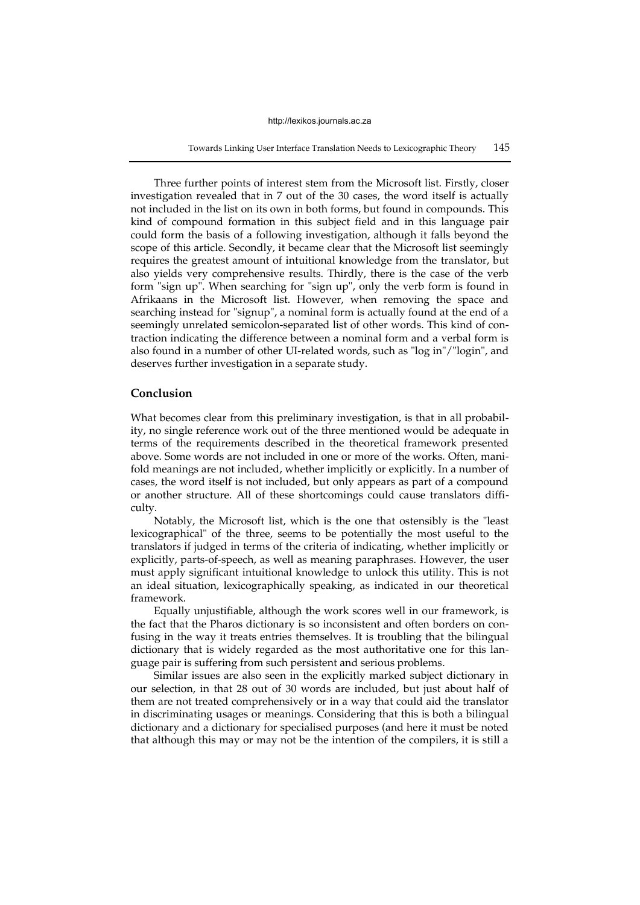Towards Linking User Interface Translation Needs to Lexicographic Theory 145

Three further points of interest stem from the Microsoft list. Firstly, closer investigation revealed that in 7 out of the 30 cases, the word itself is actually not included in the list on its own in both forms, but found in compounds. This kind of compound formation in this subject field and in this language pair could form the basis of a following investigation, although it falls beyond the scope of this article. Secondly, it became clear that the Microsoft list seemingly requires the greatest amount of intuitional knowledge from the translator, but also yields very comprehensive results. Thirdly, there is the case of the verb form "sign up". When searching for "sign up", only the verb form is found in Afrikaans in the Microsoft list. However, when removing the space and searching instead for "signup", a nominal form is actually found at the end of a seemingly unrelated semicolon-separated list of other words. This kind of contraction indicating the difference between a nominal form and a verbal form is also found in a number of other UI-related words, such as "log in"/"login", and deserves further investigation in a separate study.

#### **Conclusion**

What becomes clear from this preliminary investigation, is that in all probability, no single reference work out of the three mentioned would be adequate in terms of the requirements described in the theoretical framework presented above. Some words are not included in one or more of the works. Often, manifold meanings are not included, whether implicitly or explicitly. In a number of cases, the word itself is not included, but only appears as part of a compound or another structure. All of these shortcomings could cause translators difficulty.

Notably, the Microsoft list, which is the one that ostensibly is the "least lexicographical" of the three, seems to be potentially the most useful to the translators if judged in terms of the criteria of indicating, whether implicitly or explicitly, parts-of-speech, as well as meaning paraphrases. However, the user must apply significant intuitional knowledge to unlock this utility. This is not an ideal situation, lexicographically speaking, as indicated in our theoretical framework.

Equally unjustifiable, although the work scores well in our framework, is the fact that the Pharos dictionary is so inconsistent and often borders on confusing in the way it treats entries themselves. It is troubling that the bilingual dictionary that is widely regarded as the most authoritative one for this language pair is suffering from such persistent and serious problems.

Similar issues are also seen in the explicitly marked subject dictionary in our selection, in that 28 out of 30 words are included, but just about half of them are not treated comprehensively or in a way that could aid the translator in discriminating usages or meanings. Considering that this is both a bilingual dictionary and a dictionary for specialised purposes (and here it must be noted that although this may or may not be the intention of the compilers, it is still a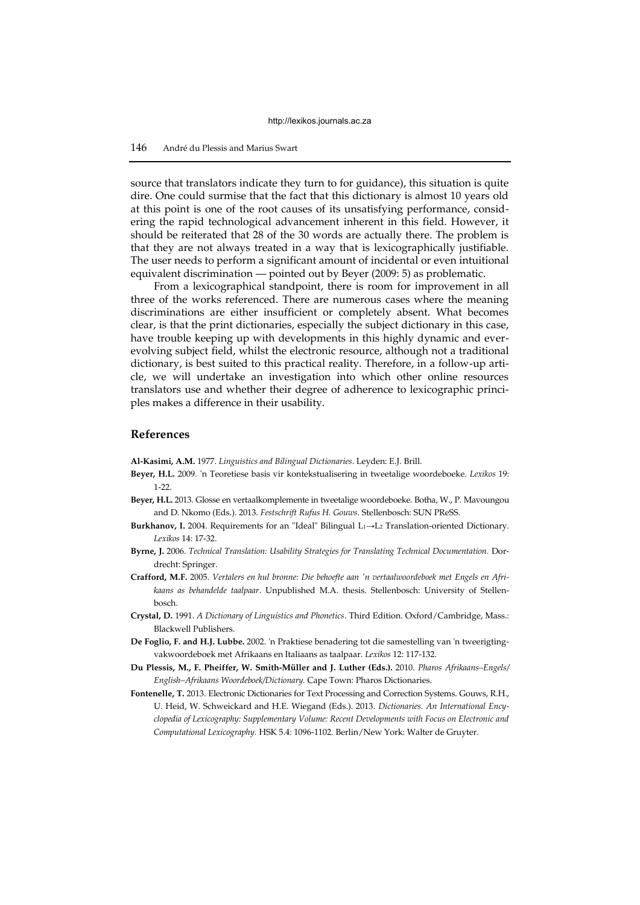source that translators indicate they turn to for guidance), this situation is quite dire. One could surmise that the fact that this dictionary is almost 10 years old at this point is one of the root causes of its unsatisfying performance, considering the rapid technological advancement inherent in this field. However, it should be reiterated that 28 of the 30 words are actually there. The problem is that they are not always treated in a way that is lexicographically justifiable. The user needs to perform a significant amount of incidental or even intuitional equivalent discrimination — pointed out by Beyer (2009: 5) as problematic.

From a lexicographical standpoint, there is room for improvement in all three of the works referenced. There are numerous cases where the meaning discriminations are either insufficient or completely absent. What becomes clear, is that the print dictionaries, especially the subject dictionary in this case, have trouble keeping up with developments in this highly dynamic and everevolving subject field, whilst the electronic resource, although not a traditional dictionary, is best suited to this practical reality. Therefore, in a follow-up article, we will undertake an investigation into which other online resources translators use and whether their degree of adherence to lexicographic principles makes a difference in their usability.

#### **References**

**Al-Kasimi, A.M.** 1977. *Linguistics and Bilingual Dictionaries*. Leyden: E.J. Brill.

- **Beyer, H.L.** 2009. 'n Teoretiese basis vir kontekstualisering in tweetalige woordeboeke. *Lexikos* 19: 1-22.
- **Beyer, H.L.** 2013. Glosse en vertaalkomplemente in tweetalige woordeboeke. Botha, W., P. Mavoungou and D. Nkomo (Eds.). 2013. *Festschrift Rufus H. Gouws.* Stellenbosch: SUN PReSS.
- **Burkhanov, I.** 2004. Requirements for an "Ideal" Bilingual L1→L<sup>2</sup> Translation-oriented Dictionary. *Lexikos* 14: 17-32.
- **Byrne, J.** 2006. *Technical Translation: Usability Strategies for Translating Technical Documentation.* Dordrecht: Springer.
- **Crafford, M.F.** 2005. *Vertalers en hul bronne: Die behoefte aan 'n vertaalwoordeboek met Engels en Afrikaans as behandelde taalpaar*. Unpublished M.A. thesis. Stellenbosch: University of Stellenbosch.
- **Crystal, D.** 1991. *A Dictionary of Linguistics and Phonetics*. Third Edition. Oxford/Cambridge, Mass.: Blackwell Publishers.
- **De Foglio, F. and H.J. Lubbe.** 2002. 'n Praktiese benadering tot die samestelling van 'n tweerigtingvakwoordeboek met Afrikaans en Italiaans as taalpaar. *Lexikos* 12: 117-132.
- **Du Plessis, M., F. Pheiffer, W. Smith-Müller and J. Luther (Eds.).** 2010. *Pharos Afrikaans–Engels/ English–Afrikaans Woordeboek/Dictionary.* Cape Town: Pharos Dictionaries.
- **Fontenelle, T.** 2013. Electronic Dictionaries for Text Processing and Correction Systems. Gouws, R.H., U. Heid, W. Schweickard and H.E. Wiegand (Eds.). 2013. *Dictionaries. An International Encyclopedia of Lexicography: Supplementary Volume: Recent Developments with Focus on Electronic and Computational Lexicography.* HSK 5.4: 1096-1102*.* Berlin/New York: Walter de Gruyter.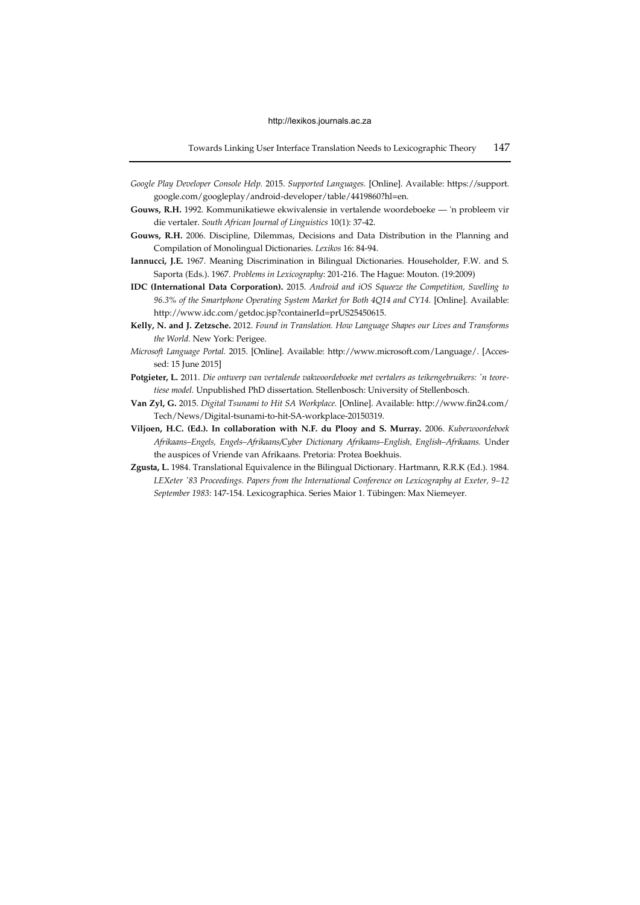- *Google Play Developer Console Help.* 2015. *Supported Languages.* [Online]. Available: https://support. google.com/googleplay/android-developer/table/4419860?hl=en.
- **Gouws, R.H.** 1992. Kommunikatiewe ekwivalensie in vertalende woordeboeke 'n probleem vir die vertaler. *South African Journal of Linguistics* 10(1): 37-42.
- **Gouws, R.H.** 2006. Discipline, Dilemmas, Decisions and Data Distribution in the Planning and Compilation of Monolingual Dictionaries. *Lexikos* 16: 84-94.
- **Iannucci, J.E.** 1967. Meaning Discrimination in Bilingual Dictionaries. Householder, F.W. and S. Saporta (Eds.). 1967. *Problems in Lexicography*: 201-216. The Hague: Mouton. (19:2009)
- **IDC (International Data Corporation).** 2015. *Android and iOS Squeeze the Competition, Swelling to 96.3% of the Smartphone Operating System Market for Both 4Q14 and CY14.* [Online]. Available: http://www.idc.com/getdoc.jsp?containerId=prUS25450615.
- **Kelly, N. and J. Zetzsche.** 2012. *Found in Translation. How Language Shapes our Lives and Transforms the World.* New York: Perigee.
- *Microsoft Language Portal.* 2015. [Online]. Available: http://www.microsoft.com/Language/. [Accessed: 15 June 2015]
- **Potgieter, L.** 2011. *Die ontwerp van vertalende vakwoordeboeke met vertalers as teikengebruikers: 'n teoretiese model.* Unpublished PhD dissertation. Stellenbosch: University of Stellenbosch.
- **Van Zyl, G.** 2015. *Digital Tsunami to Hit SA Workplace.* [Online]. Available: http://www.fin24.com/ Tech/News/Digital-tsunami-to-hit-SA-workplace-20150319.
- **Viljoen, H.C. (Ed.). In collaboration with N.F. du Plooy and S. Murray.** 2006. *Kuberwoordeboek Afrikaans–Engels, Engels–Afrikaans/Cyber Dictionary Afrikaans–English, English–Afrikaans.* Under the auspices of Vriende van Afrikaans. Pretoria: Protea Boekhuis.
- **Zgusta, L.** 1984. Translational Equivalence in the Bilingual Dictionary. Hartmann, R.R.K (Ed.). 1984. *LEXeter '83 Proceedings. Papers from the International Conference on Lexicography at Exeter, 9–12 September 1983*: 147-154. Lexicographica. Series Maior 1. Tübingen: Max Niemeyer.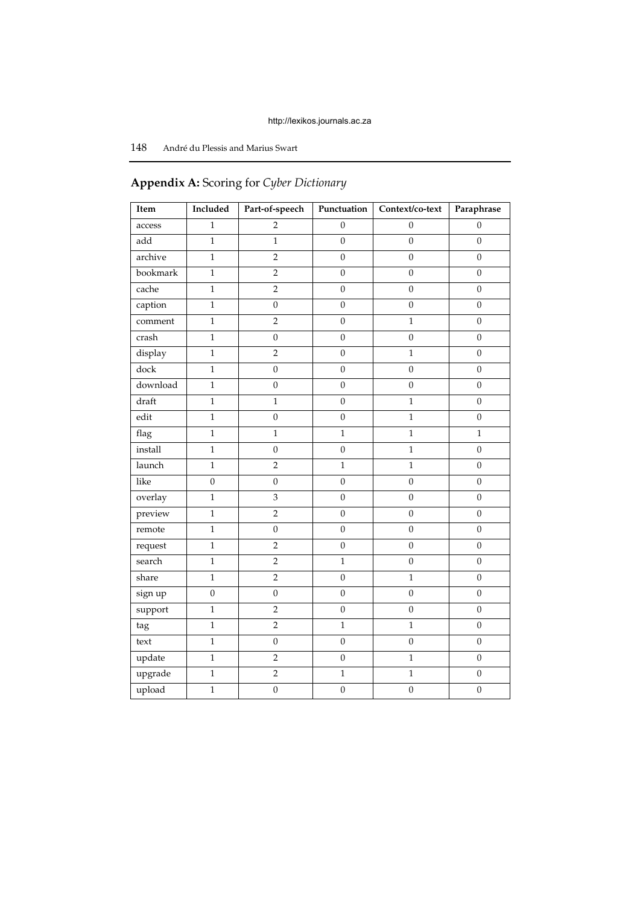# 148 André du Plessis and Marius Swart

# **Item Included Part-of-speech Punctuation Context/co-text Paraphrase** access  $1 \t 1 \t 2 \t 0 \t 0 \t 0$ add | 1 | 1 | 0 | 0 | 0 archive  $1 \t 2 \t 0 \t 0$  0 0 bookmark 1 2 0 0 0 0 cache | 1 | 2 | 0 | 0 | 0 caption  $\begin{array}{|c|c|c|c|c|c|} \hline \text{1} & \text{0} & \text{0} & \text{0} & \text{0} \ \hline \end{array}$ comment 1 1 2 0 1 1 0 crash | 1 | 0 | 0 | 0 | 0 display 1 1 2 0 1 1 0 dock | 1 | 0 | 0 | 0 | 0 download 1 0 0 0 0 0 draft | 1 | 1 | 0 | 1 | 0 edit | 1 | 0 | 0 | 1 | 0 flag | 1 | 1 | 1 | 1 | 1 install | 1 | 0 | 0 | 1 | 0 launch | 1 | 2 | 1 | 1 | 0 like | 0 | 0 | 0 | 0 | 0 overlay 1 1 3 0 0 0 0 preview | 1 | 2 | 0 | 0 | 0 remote 1 1 0 0 0 0 0 0 request | 1 | 2 | 0 | 0 | 0 search | 1 | 2 | 1 | 0 | 0 share 1 1 2 1 0 1 1 0 sign up | 0 | 0 | 0 | 0 | 0 0 support | 1 | 2 | 0 | 0 | 0 tag | 1 | 2 | 1 | 1 | 0 text | 1 | 0 | 0 | 0 | 0 update 1 1 2 0 1 1 0 upgrade  $1 \t 2 \t 1 \t 1 \t 0$ upload | 1 | 0 | 0 | 0 | 0

# **Appendix A:** Scoring for *Cyber Dictionary*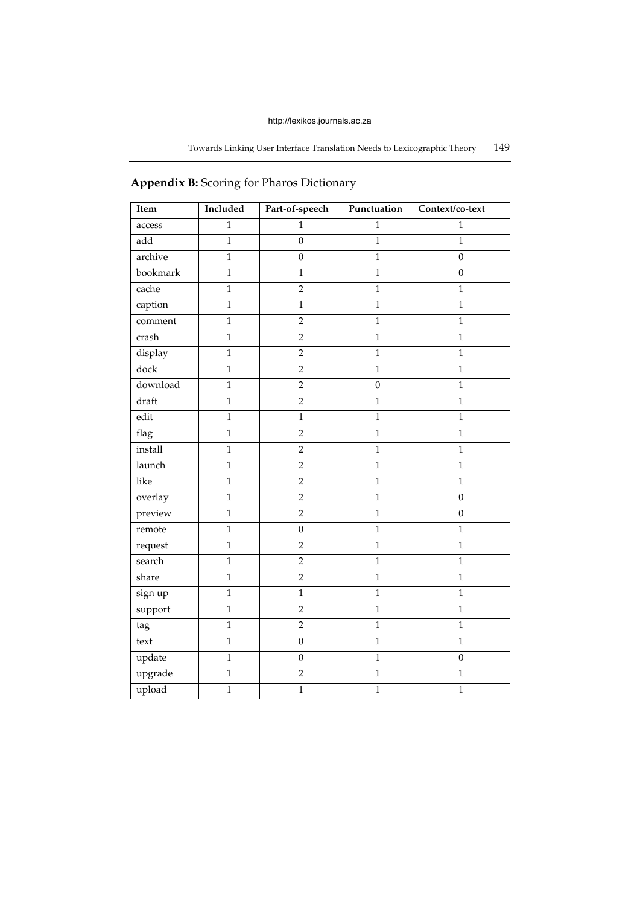| Item     | Included       | Part-of-speech   | Punctuation    | Context/co-text  |
|----------|----------------|------------------|----------------|------------------|
| access   | $\mathbf{1}$   | 1                | $\mathbf{1}$   | $\mathbf{1}$     |
| add      | $\mathbf{1}$   | $\boldsymbol{0}$ | $\overline{1}$ | $\mathbf{1}$     |
| archive  | $\mathbf{1}$   | $\boldsymbol{0}$ | $\mathbf{1}$   | $\boldsymbol{0}$ |
| bookmark | $\mathbf{1}$   | $\mathbf{1}$     | $\mathbf{1}$   | $\overline{0}$   |
| cache    | $\mathbf{1}$   | $\overline{2}$   | $\mathbf{1}$   | $\mathbf{1}$     |
| caption  | $\mathbf{1}$   | $\overline{1}$   | $\overline{1}$ | $\mathbf{1}$     |
| comment  | $\mathbf{1}$   | $\overline{2}$   | $\mathbf{1}$   | $\mathbf{1}$     |
| crash    | $\,1$          | $\overline{2}$   | $\mathbf{1}$   | $\mathbf 1$      |
| display  | $\mathbf{1}$   | $\overline{2}$   | $\mathbf{1}$   | $\mathbf{1}$     |
| dock     | $\mathbf{1}$   | $\overline{2}$   | $\mathbf{1}$   | $\mathbf{1}$     |
| download | $\mathbf{1}$   | $\overline{2}$   | $\mathbf{0}$   | $\mathbf{1}$     |
| draft    | $\mathbf{1}$   | $\sqrt{2}$       | $\mathbf{1}$   | $\mathbf{1}$     |
| edit     | $\mathbf{1}$   | $\overline{1}$   | $\overline{1}$ | $\mathbf{1}$     |
| flag     | $\mathbf{1}$   | $\overline{2}$   | $\mathbf{1}$   | $\mathbf{1}$     |
| install  | $\mathbf{1}$   | $\overline{2}$   | $\mathbf{1}$   | $\,1$            |
| launch   | $\mathbf{1}$   | $\overline{2}$   | $\mathbf{1}$   | $\mathbf{1}$     |
| like     | $\,1$          | $\overline{2}$   | $\mathbf{1}$   | $\mathbf{1}$     |
| overlay  | $\mathbf{1}$   | $\overline{2}$   | $\overline{1}$ | $\boldsymbol{0}$ |
| preview  | $\,1$          | $\sqrt{2}$       | $\mathbf{1}$   | $\boldsymbol{0}$ |
| remote   | $\mathbf{1}$   | $\boldsymbol{0}$ | $\mathbf{1}$   | $1\,$            |
| request  | $\mathbf{1}$   | $\overline{2}$   | $\mathbf{1}$   | $\mathbf{1}$     |
| search   | $\mathbf{1}$   | $\overline{2}$   | $\mathbf{1}$   | $\mathbf{1}$     |
| share    | $\mathbf{1}$   | $\overline{2}$   | $\overline{1}$ | $\overline{1}$   |
| sign up  | $\mathbf{1}$   | $\mathbf{1}$     | $\mathbf{1}$   | $\mathbf{1}$     |
| support  | $\mathbf{1}$   | $\overline{2}$   | $\overline{1}$ | $\mathbf{1}$     |
| tag      | $\mathbf{1}$   | $\overline{2}$   | $\mathbf{1}$   | $\mathbf{1}$     |
| text     | $\overline{1}$ | $\boldsymbol{0}$ | $\overline{1}$ | $\overline{1}$   |
| update   | $\mathbf{1}$   | $\mathbf 0$      | $\mathbf{1}$   | $\boldsymbol{0}$ |
| upgrade  | $\,1$          | $\sqrt{2}$       | $\mathbf{1}$   | $\mathbf{1}$     |
| upload   | $\mathbf{1}$   | $\overline{1}$   | $\mathbf{1}$   | $\mathbf{1}$     |